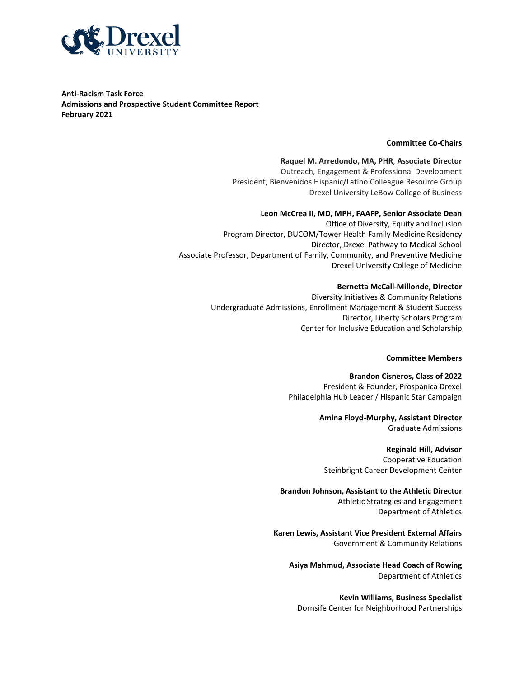

**Anti-Racism Task Force Admissions and Prospective Student Committee Report February 2021**

#### **Committee Co-Chairs**

**Raquel M. Arredondo, MA, PHR**, **Associate Director** Outreach, Engagement & Professional Development President, Bienvenidos Hispanic/Latino Colleague Resource Group Drexel University LeBow College of Business

#### **Leon McCrea II, MD, MPH, FAAFP, Senior Associate Dean**

Office of Diversity, Equity and Inclusion Program Director, DUCOM/Tower Health Family Medicine Residency Director, Drexel Pathway to Medical School Associate Professor, Department of Family, Community, and Preventive Medicine Drexel University College of Medicine

#### **Bernetta McCall-Millonde, Director**

Diversity Initiatives & Community Relations Undergraduate Admissions, Enrollment Management & Student Success Director, Liberty Scholars Program Center for Inclusive Education and Scholarship

#### **Committee Members**

**Brandon Cisneros, Class of 2022** President & Founder, Prospanica Drexel Philadelphia Hub Leader / Hispanic Star Campaign

> **Amina Floyd-Murphy, Assistant Director** Graduate Admissions

**Reginald Hill, Advisor** Cooperative Education Steinbright Career Development Center

**Brandon Johnson, Assistant to the Athletic Director** Athletic Strategies and Engagement Department of Athletics

**Karen Lewis, Assistant Vice President External Affairs** Government & Community Relations

**Asiya Mahmud, Associate Head Coach of Rowing** Department of Athletics

**Kevin Williams, Business Specialist** Dornsife Center for Neighborhood Partnerships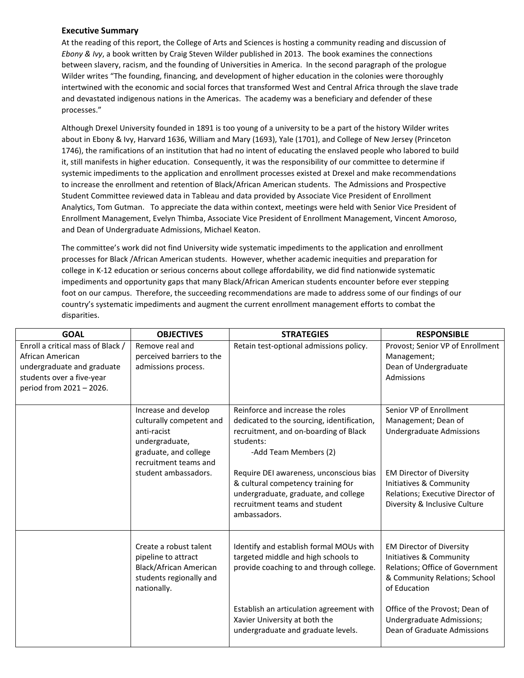## **Executive Summary**

At the reading of this report, the College of Arts and Sciences is hosting a community reading and discussion of *Ebony & Ivy*, a book written by Craig Steven Wilder published in 2013. The book examines the connections between slavery, racism, and the founding of Universities in America. In the second paragraph of the prologue Wilder writes "The founding, financing, and development of higher education in the colonies were thoroughly intertwined with the economic and social forces that transformed West and Central Africa through the slave trade and devastated indigenous nations in the Americas. The academy was a beneficiary and defender of these processes."

Although Drexel University founded in 1891 is too young of a university to be a part of the history Wilder writes about in Ebony & Ivy, Harvard 1636, William and Mary (1693), Yale (1701), and College of New Jersey (Princeton 1746), the ramifications of an institution that had no intent of educating the enslaved people who labored to build it, still manifests in higher education. Consequently, it was the responsibility of our committee to determine if systemic impediments to the application and enrollment processes existed at Drexel and make recommendations to increase the enrollment and retention of Black/African American students. The Admissions and Prospective Student Committee reviewed data in Tableau and data provided by Associate Vice President of Enrollment Analytics, Tom Gutman. To appreciate the data within context, meetings were held with Senior Vice President of Enrollment Management, Evelyn Thimba, Associate Vice President of Enrollment Management, Vincent Amoroso, and Dean of Undergraduate Admissions, Michael Keaton.

The committee's work did not find University wide systematic impediments to the application and enrollment processes for Black /African American students. However, whether academic inequities and preparation for college in K-12 education or serious concerns about college affordability, we did find nationwide systematic impediments and opportunity gaps that many Black/African American students encounter before ever stepping foot on our campus. Therefore, the succeeding recommendations are made to address some of our findings of our country's systematic impediments and augment the current enrollment management efforts to combat the disparities.

| <b>GOAL</b>                                                                                                                                  | <b>OBJECTIVES</b>                                                                                                                   | <b>STRATEGIES</b>                                                                                                                                                      | <b>RESPONSIBLE</b>                                                                                                                             |
|----------------------------------------------------------------------------------------------------------------------------------------------|-------------------------------------------------------------------------------------------------------------------------------------|------------------------------------------------------------------------------------------------------------------------------------------------------------------------|------------------------------------------------------------------------------------------------------------------------------------------------|
| Enroll a critical mass of Black /<br>African American<br>undergraduate and graduate<br>students over a five-year<br>period from 2021 - 2026. | Remove real and<br>perceived barriers to the<br>admissions process.                                                                 | Retain test-optional admissions policy.                                                                                                                                | Provost; Senior VP of Enrollment<br>Management;<br>Dean of Undergraduate<br>Admissions                                                         |
|                                                                                                                                              | Increase and develop<br>culturally competent and<br>anti-racist<br>undergraduate,<br>graduate, and college<br>recruitment teams and | Reinforce and increase the roles<br>dedicated to the sourcing, identification,<br>recruitment, and on-boarding of Black<br>students:<br>-Add Team Members (2)          | Senior VP of Enrollment<br>Management; Dean of<br><b>Undergraduate Admissions</b>                                                              |
|                                                                                                                                              | student ambassadors.                                                                                                                | Require DEI awareness, unconscious bias<br>& cultural competency training for<br>undergraduate, graduate, and college<br>recruitment teams and student<br>ambassadors. | <b>EM Director of Diversity</b><br>Initiatives & Community<br>Relations; Executive Director of<br>Diversity & Inclusive Culture                |
|                                                                                                                                              | Create a robust talent<br>pipeline to attract<br><b>Black/African American</b><br>students regionally and<br>nationally.            | Identify and establish formal MOUs with<br>targeted middle and high schools to<br>provide coaching to and through college.                                             | <b>EM Director of Diversity</b><br>Initiatives & Community<br>Relations; Office of Government<br>& Community Relations; School<br>of Education |
|                                                                                                                                              |                                                                                                                                     | Establish an articulation agreement with<br>Xavier University at both the<br>undergraduate and graduate levels.                                                        | Office of the Provost; Dean of<br>Undergraduate Admissions;<br>Dean of Graduate Admissions                                                     |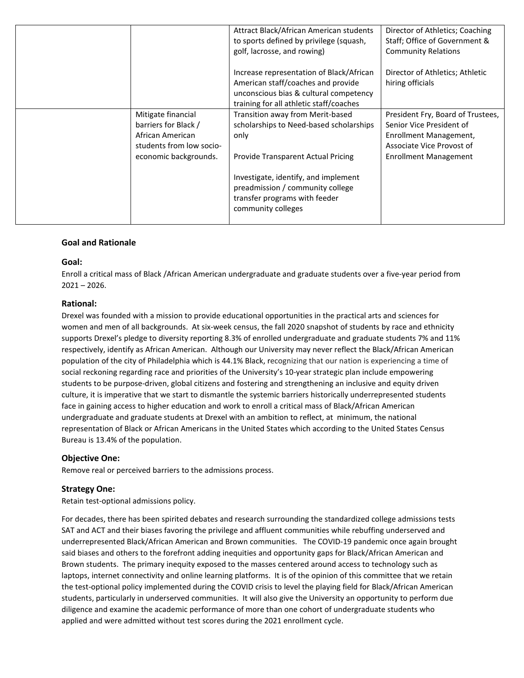|                                                                                                                             | to sports defined by privilege (squash,<br>golf, lacrosse, and rowing)                                                                                                                                                         | Director of Athletics; Coaching<br>Staff; Office of Government &<br><b>Community Relations</b>                                                       |
|-----------------------------------------------------------------------------------------------------------------------------|--------------------------------------------------------------------------------------------------------------------------------------------------------------------------------------------------------------------------------|------------------------------------------------------------------------------------------------------------------------------------------------------|
|                                                                                                                             | Increase representation of Black/African<br>American staff/coaches and provide<br>hiring officials<br>unconscious bias & cultural competency<br>training for all athletic staff/coaches                                        | Director of Athletics; Athletic                                                                                                                      |
| Mitigate financial<br>barriers for Black /<br>African American<br>only<br>students from low socio-<br>economic backgrounds. | Transition away from Merit-based<br>scholarships to Need-based scholarships<br>Provide Transparent Actual Pricing<br>Investigate, identify, and implement<br>preadmission / community college<br>transfer programs with feeder | President Fry, Board of Trustees,<br>Senior Vice President of<br>Enrollment Management,<br>Associate Vice Provost of<br><b>Enrollment Management</b> |

## **Goal and Rationale**

#### **Goal:**

Enroll a critical mass of Black /African American undergraduate and graduate students over a five-year period from 2021 – 2026.

#### **Rational:**

Drexel was founded with a mission to provide educational opportunities in the practical arts and sciences for women and men of all backgrounds. At six-week census, the fall 2020 snapshot of students by race and ethnicity supports Drexel's pledge to diversity reporting 8.3% of enrolled undergraduate and graduate students 7% and 11% respectively, identify as African American. Although our University may never reflect the Black/African American population of the city of Philadelphia which is 44.1% Black, recognizing that our nation is experiencing a time of social reckoning regarding race and priorities of the University's 10-year strategic plan include empowering students to be purpose-driven, global citizens and fostering and strengthening an inclusive and equity driven culture, it is imperative that we start to dismantle the systemic barriers historically underrepresented students face in gaining access to higher education and work to enroll a critical mass of Black/African American undergraduate and graduate students at Drexel with an ambition to reflect, at minimum, the national representation of Black or African Americans in the United States which according to the United States Census Bureau is 13.4% of the population.

### **Objective One:**

Remove real or perceived barriers to the admissions process.

#### **Strategy One:**

Retain test-optional admissions policy.

For decades, there has been spirited debates and research surrounding the standardized college admissions tests SAT and ACT and their biases favoring the privilege and affluent communities while rebuffing underserved and underrepresented Black/African American and Brown communities. The COVID-19 pandemic once again brought said biases and others to the forefront adding inequities and opportunity gaps for Black/African American and Brown students. The primary inequity exposed to the masses centered around access to technology such as laptops, internet connectivity and online learning platforms. It is of the opinion of this committee that we retain the test-optional policy implemented during the COVID crisis to level the playing field for Black/African American students, particularly in underserved communities. It will also give the University an opportunity to perform due diligence and examine the academic performance of more than one cohort of undergraduate students who applied and were admitted without test scores during the 2021 enrollment cycle.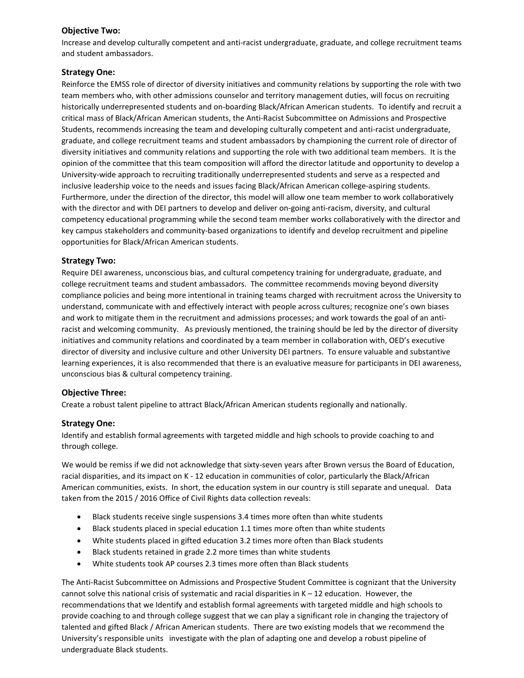## **Objective Two:**

Increase and develop culturally competent and anti-racist undergraduate, graduate, and college recruitment teams and student ambassadors.

## **Strategy One:**

Reinforce the EMSS role of director of diversity initiatives and community relations by supporting the role with two team members who, with other admissions counselor and territory management duties, will focus on recruiting historically underrepresented students and on-boarding Black/African American students.To identify and recruit a critical mass of Black/African American students, the Anti-Racist Subcommittee on Admissions and Prospective Students, recommends increasing the team and developing culturally competent and anti-racist undergraduate, graduate, and college recruitment teams and student ambassadors by championing the current role of director of diversity initiatives and community relations and supporting the role with two additional team members. It is the opinion of the committee that this team composition will afford the director latitude and opportunity to develop a University-wide approach to recruiting traditionally underrepresented students and serve as a respected and inclusive leadership voice to the needs and issues facing Black/African American college-aspiring students. Furthermore, under the direction of the director, this model will allow one team member to work collaboratively with the director and with DEI partners to develop and deliver on-going anti-racism, diversity, and cultural competency educational programming while the second team member works collaboratively with the director and key campus stakeholders and community-based organizations to identify and develop recruitment and pipeline opportunities for Black/African American students.

# **Strategy Two:**

Require DEI awareness, unconscious bias, and cultural competency training for undergraduate, graduate, and college recruitment teams and student ambassadors. The committee recommends moving beyond diversity compliance policies and being more intentional in training teams charged with recruitment across the University to understand, communicate with and effectively interact with people across cultures; recognize one's own biases and work to mitigate them in the recruitment and admissions processes; and work towards the goal of an antiracist and welcoming community. As previously mentioned, the training should be led by the director of diversity initiatives and community relations and coordinated by a team member in collaboration with, OED's executive director of diversity and inclusive culture and other University DEI partners. To ensure valuable and substantive learning experiences, it is also recommended that there is an evaluative measure for participants in DEI awareness, unconscious bias & cultural competency training.

### **Objective Three:**

Create a robust talent pipeline to attract Black/African American students regionally and nationally.

### **Strategy One:**

Identify and establish formal agreements with targeted middle and high schools to provide coaching to and through college.

We would be remiss if we did not acknowledge that sixty-seven years after Brown versus the Board of Education, racial disparities, and its impact on K - 12 education in communities of color, particularly the Black/African American communities, exists. In short, the education system in our country is still separate and unequal. Data taken from the 2015 / 2016 Office of Civil Rights data collection reveals:

- Black students receive single suspensions 3.4 times more often than white students
- Black students placed in special education 1.1 times more often than white students
- White students placed in gifted education 3.2 times more often than Black students
- Black students retained in grade 2.2 more times than white students
- White students took AP courses 2.3 times more often than Black students

The Anti-Racist Subcommittee on Admissions and Prospective Student Committee is cognizant that the University cannot solve this national crisis of systematic and racial disparities in K – 12 education. However, the recommendations that we Identify and establish formal agreements with targeted middle and high schools to provide coaching to and through college suggest that we can play a significant role in changing the trajectory of talented and gifted Black / African American students. There are two existing models that we recommend the University's responsible units investigate with the plan of adapting one and develop a robust pipeline of undergraduate Black students.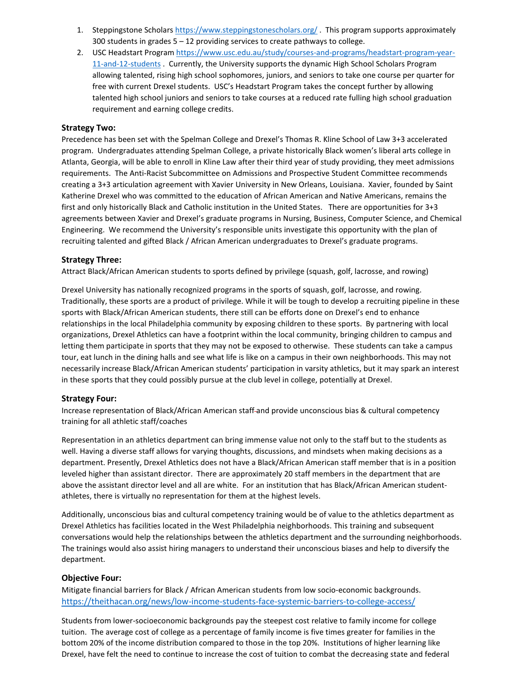- 1. Steppingstone Scholars<https://www.steppingstonescholars.org/>. This program supports approximately 300 students in grades 5 – 12 providing services to create pathways to college.
- 2. USC Headstart Program [https://www.usc.edu.au/study/courses-and-programs/headstart-program-year-](https://www.usc.edu.au/study/courses-and-programs/headstart-program-year-11-and-12-students)[11-and-12-students](https://www.usc.edu.au/study/courses-and-programs/headstart-program-year-11-and-12-students) . Currently, the University supports the dynamic High School Scholars Program allowing talented, rising high school sophomores, juniors, and seniors to take one course per quarter for free with current Drexel students. USC's Headstart Program takes the concept further by allowing talented high school juniors and seniors to take courses at a reduced rate fulling high school graduation requirement and earning college credits.

#### **Strategy Two:**

Precedence has been set with the Spelman College and Drexel's Thomas R. Kline School of Law 3+3 accelerated program. Undergraduates attending Spelman College, a private historically Black women's liberal arts college in Atlanta, Georgia, will be able to enroll in Kline Law after their third year of study providing, they meet admissions requirements. The Anti-Racist Subcommittee on Admissions and Prospective Student Committee recommends creating a 3+3 articulation agreement with Xavier University in New Orleans, Louisiana. Xavier, founded by Saint Katherine Drexel who was committed to the education of African American and Native Americans, remains the first and only historically Black and Catholic institution in the United States. There are opportunities for 3+3 agreements between Xavier and Drexel's graduate programs in Nursing, Business, Computer Science, and Chemical Engineering. We recommend the University's responsible units investigate this opportunity with the plan of recruiting talented and gifted Black / African American undergraduates to Drexel's graduate programs.

### **Strategy Three:**

Attract Black/African American students to sports defined by privilege (squash, golf, lacrosse, and rowing)

Drexel University has nationally recognized programs in the sports of squash, golf, lacrosse, and rowing. Traditionally, these sports are a product of privilege. While it will be tough to develop a recruiting pipeline in these sports with Black/African American students, there still can be efforts done on Drexel's end to enhance relationships in the local Philadelphia community by exposing children to these sports. By partnering with local organizations, Drexel Athletics can have a footprint within the local community, bringing children to campus and letting them participate in sports that they may not be exposed to otherwise. These students can take a campus tour, eat lunch in the dining halls and see what life is like on a campus in their own neighborhoods. This may not necessarily increase Black/African American students' participation in varsity athletics, but it may spark an interest in these sports that they could possibly pursue at the club level in college, potentially at Drexel.

#### **Strategy Four:**

Increase representation of Black/African American staff and provide unconscious bias & cultural competency training for all athletic staff/coaches

Representation in an athletics department can bring immense value not only to the staff but to the students as well. Having a diverse staff allows for varying thoughts, discussions, and mindsets when making decisions as a department. Presently, Drexel Athletics does not have a Black/African American staff member that is in a position leveled higher than assistant director. There are approximately 20 staff members in the department that are above the assistant director level and all are white. For an institution that has Black/African American studentathletes, there is virtually no representation for them at the highest levels.

Additionally, unconscious bias and cultural competency training would be of value to the athletics department as Drexel Athletics has facilities located in the West Philadelphia neighborhoods. This training and subsequent conversations would help the relationships between the athletics department and the surrounding neighborhoods. The trainings would also assist hiring managers to understand their unconscious biases and help to diversify the department.

#### **Objective Four:**

Mitigate financial barriers for Black / African American students from low socio-economic backgrounds. <https://theithacan.org/news/low-income-students-face-systemic-barriers-to-college-access/>

Students from lower-socioeconomic backgrounds pay the steepest cost relative to family income for college tuition. The average cost of college as a percentage of family income is five times greater for families in the bottom 20% of the income distribution compared to those in the top 20%. Institutions of higher learning like Drexel, have felt the need to continue to increase the cost of tuition to combat the decreasing state and federal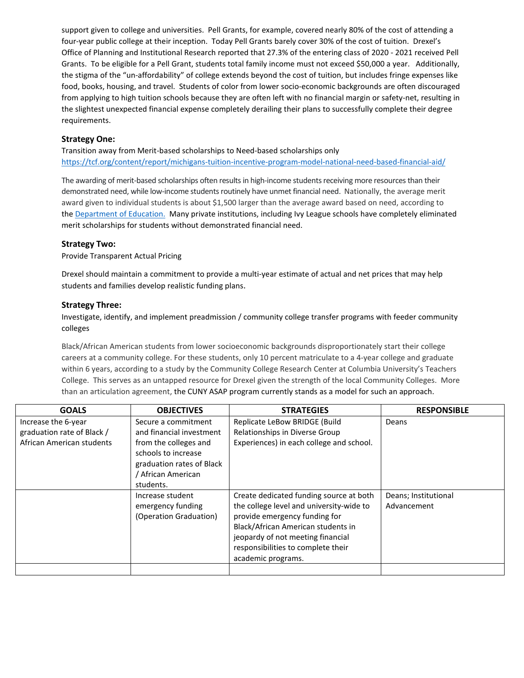support given to college and universities. Pell Grants, for example, covered nearly 80% of the cost of attending a four-year public college at their inception. Today Pell Grants barely cover 30% of the cost of tuition. Drexel's Office of Planning and Institutional Research reported that 27.3% of the entering class of 2020 - 2021 received Pell Grants. To be eligible for a Pell Grant, students total family income must not exceed \$50,000 a year. Additionally, the stigma of the "un-affordability" of college extends beyond the cost of tuition, but includes fringe expenses like food, books, housing, and travel. Students of color from lower socio-economic backgrounds are often discouraged from applying to high tuition schools because they are often left with no financial margin or safety-net, resulting in the slightest unexpected financial expense completely derailing their plans to successfully complete their degree requirements.

## **Strategy One:**

Transition away from Merit-based scholarships to Need-based scholarships only <https://tcf.org/content/report/michigans-tuition-incentive-program-model-national-need-based-financial-aid/>

The awarding of merit-based scholarships often results in high-income students receiving more resources than their demonstrated need, while low-income students routinely have unmet financial need. Nationally, the average merit award given to individual students is about \$1,500 larger than the average award based on need, according to the [Department of Education.](https://nces.ed.gov/pubs2019/2019486.pdf) Many private institutions, including Ivy League schools have completely eliminated merit scholarships for students without demonstrated financial need.

#### **Strategy Two:**

Provide Transparent Actual Pricing

Drexel should maintain a commitment to provide a multi-year estimate of actual and net prices that may help students and families develop realistic funding plans.

#### **Strategy Three:**

Investigate, identify, and implement preadmission / community college transfer programs with feeder community colleges

Black/African American students from lower socioeconomic backgrounds disproportionately start their college careers at a community college. For these students, only 10 percent matriculate to a 4-year college and graduate within 6 years, according to a study by the Community College Research Center at Columbia University's Teachers College. This serves as an untapped resource for Drexel given the strength of the local Community Colleges. More than an articulation agreement, the CUNY ASAP program currently stands as a model for such an approach.

| <b>GOALS</b>                                                                   | <b>OBJECTIVES</b>                                                                               | <b>STRATEGIES</b>                                                                                                                                                                                                                                           | <b>RESPONSIBLE</b>                  |
|--------------------------------------------------------------------------------|-------------------------------------------------------------------------------------------------|-------------------------------------------------------------------------------------------------------------------------------------------------------------------------------------------------------------------------------------------------------------|-------------------------------------|
| Increase the 6-year<br>graduation rate of Black /<br>African American students | Secure a commitment<br>and financial investment<br>from the colleges and<br>schools to increase | Replicate LeBow BRIDGE (Build<br>Relationships in Diverse Group<br>Experiences) in each college and school.                                                                                                                                                 | Deans                               |
|                                                                                | graduation rates of Black<br>' African American<br>students.                                    |                                                                                                                                                                                                                                                             |                                     |
|                                                                                | Increase student<br>emergency funding<br>(Operation Graduation)                                 | Create dedicated funding source at both<br>the college level and university-wide to<br>provide emergency funding for<br>Black/African American students in<br>jeopardy of not meeting financial<br>responsibilities to complete their<br>academic programs. | Deans; Institutional<br>Advancement |
|                                                                                |                                                                                                 |                                                                                                                                                                                                                                                             |                                     |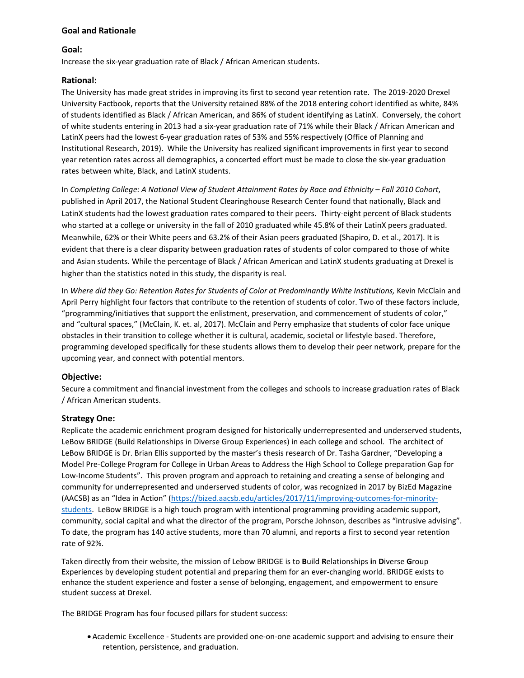## **Goal and Rationale**

### **Goal:**

Increase the six-year graduation rate of Black / African American students.

#### **Rational:**

The University has made great strides in improving its first to second year retention rate. The 2019-2020 Drexel University Factbook, reports that the University retained 88% of the 2018 entering cohort identified as white, 84% of students identified as Black / African American, and 86% of student identifying as LatinX. Conversely, the cohort of white students entering in 2013 had a six-year graduation rate of 71% while their Black / African American and LatinX peers had the lowest 6-year graduation rates of 53% and 55% respectively (Office of Planning and Institutional Research, 2019). While the University has realized significant improvements in first year to second year retention rates across all demographics, a concerted effort must be made to close the six-year graduation rates between white, Black, and LatinX students.

In *Completing College: A National View of Student Attainment Rates by Race and Ethnicity – Fall 2010 Cohort*, published in April 2017, the National Student Clearinghouse Research Center found that nationally, Black and LatinX students had the lowest graduation rates compared to their peers. Thirty-eight percent of Black students who started at a college or university in the fall of 2010 graduated while 45.8% of their LatinX peers graduated. Meanwhile, 62% or their White peers and 63.2% of their Asian peers graduated (Shapiro, D. et al., 2017). It is evident that there is a clear disparity between graduation rates of students of color compared to those of white and Asian students. While the percentage of Black / African American and LatinX students graduating at Drexel is higher than the statistics noted in this study, the disparity is real.

In Where did they Go: Retention Rates for Students of Color at Predominantly White Institutions, Kevin McClain and April Perry highlight four factors that contribute to the retention of students of color. Two of these factors include, "programming/initiatives that support the enlistment, preservation, and commencement of students of color," and "cultural spaces," (McClain, K. et. al, 2017). McClain and Perry emphasize that students of color face unique obstacles in their transition to college whether it is cultural, academic, societal or lifestyle based. Therefore, programming developed specifically for these students allows them to develop their peer network, prepare for the upcoming year, and connect with potential mentors.

### **Objective:**

Secure a commitment and financial investment from the colleges and schools to increase graduation rates of Black / African American students.

### **Strategy One:**

Replicate the academic enrichment program designed for historically underrepresented and underserved students, LeBow BRIDGE (Build Relationships in Diverse Group Experiences) in each college and school. The architect of LeBow BRIDGE is Dr. Brian Ellis supported by the master's thesis research of Dr. Tasha Gardner, "Developing a Model Pre-College Program for College in Urban Areas to Address the High School to College preparation Gap for Low-Income Students". This proven program and approach to retaining and creating a sense of belonging and community for underrepresented and underserved students of color, was recognized in 2017 by BizEd Magazine (AACSB) as an "Idea in Action" [\(https://bized.aacsb.edu/articles/2017/11/improving-outcomes-for-minority](https://bized.aacsb.edu/articles/2017/11/improving-outcomes-for-minority-students)[students.](https://bized.aacsb.edu/articles/2017/11/improving-outcomes-for-minority-students) LeBow BRIDGE is a high touch program with intentional programming providing academic support, community, social capital and what the director of the program, Porsche Johnson, describes as "intrusive advising". To date, the program has 140 active students, more than 70 alumni, and reports a first to second year retention rate of 92%.

Taken directly from their website, the mission of Lebow BRIDGE is to **B**uild **R**elationships **i**n **D**iverse **G**roup **E**xperiences by developing student potential and preparing them for an ever-changing world. BRIDGE exists to enhance the student experience and foster a sense of belonging, engagement, and empowerment to ensure student success at Drexel.

The BRIDGE Program has four focused pillars for student success:

•Academic Excellence - Students are provided one-on-one academic support and advising to ensure their retention, persistence, and graduation.